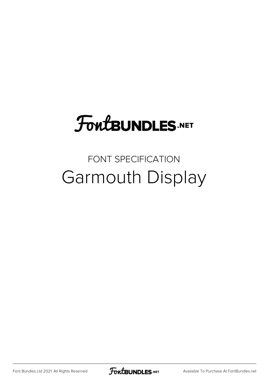# **FoutBUNDLES.NET**

### FONT SPECIFICATION Garmouth Display

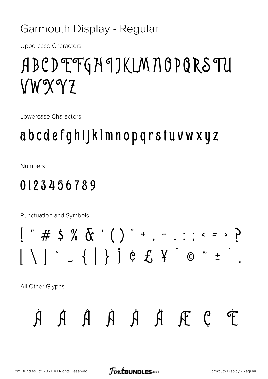#### Garmouth Display - Regular

**Uppercase Characters** 

## ABCDEFGHJKLMNOPQRSTU VWXYZ

Lowercase Characters

## abcdefghijklmnopqrstuvwxyz

**Numbers** 

#### 0123456789

Punctuation and Symbols

All Other Glyphs

$$
\dot{A} \quad \dot{A} \quad \dot{A} \quad \ddot{A} \quad \ddot{A} \quad \ddot{A} \quad \mathbb{F} \quad \mathcal{C} \quad \mathcal{F}
$$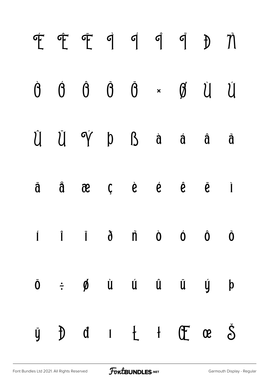|  | FFFIIII DN                                                                                                                                                                      |  |  |  |
|--|---------------------------------------------------------------------------------------------------------------------------------------------------------------------------------|--|--|--|
|  | $\begin{matrix} \dot{\theta} & \dot{\theta} & \dot{\theta} & \ddot{\theta} & \ast & \theta & \dot{\theta} & \dot{\theta} \end{matrix}$                                          |  |  |  |
|  | Û Ü Ý þ ß à á â ã                                                                                                                                                               |  |  |  |
|  | ä å æ ç è é ê ë ì                                                                                                                                                               |  |  |  |
|  | $\hat{I}$ $\hat{I}$ $\hat{I}$ $\hat{d}$ $\hat{n}$ $\hat{0}$ $\hat{0}$ $\hat{0}$ $\hat{0}$                                                                                       |  |  |  |
|  | $\ddot{\mathbf{o}}$ $\div$ $\boldsymbol{\phi}$ $\dot{\mathbf{u}}$ $\dot{\mathbf{u}}$ $\ddot{\mathbf{u}}$ $\ddot{\mathbf{u}}$ $\dot{\mathbf{u}}$ $\dot{\mathbf{y}}$ $\mathbf{b}$ |  |  |  |
|  | $\begin{array}{ccccccccccccccccccccc} \text{y} & \text{b} & \text{d} & \text{f} & \text{f} & \text{f} & \text{f} & \text{f} & \text{c} & \text{c} \end{array}$                  |  |  |  |